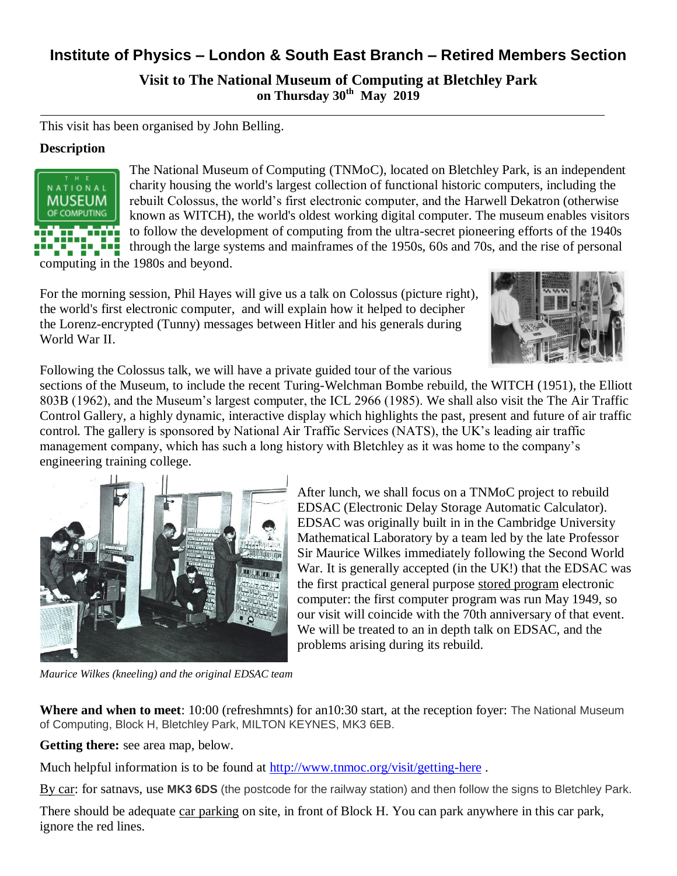## **Institute of Physics – London & South East Branch – Retired Members Section**

**Visit to The National Museum of Computing at Bletchley Park on Thursday 30th May 2019**

This visit has been organised by John Belling.

## **Description**



The National Museum of Computing (TNMoC), located on Bletchley Park, is an independent charity housing the world's largest collection of functional historic computers, including the rebuilt Colossus, the world's first electronic computer, and the Harwell Dekatron (otherwise known as WITCH), the world's oldest working digital computer. The museum enables visitors to follow the development of computing from the ultra-secret pioneering efforts of the 1940s through the large systems and mainframes of the 1950s, 60s and 70s, and the rise of personal

computing in the 1980s and beyond.

For the morning session, Phil Hayes will give us a talk on Colossus (picture right), the world's first electronic computer, and will explain how it helped to decipher the Lorenz-encrypted (Tunny) messages between Hitler and his generals during World War II.



Following the Colossus talk, we will have a private guided tour of the various

sections of the Museum, to include the recent Turing-Welchman Bombe rebuild, the WITCH (1951), the Elliott 803B (1962), and the Museum's largest computer, the ICL 2966 (1985). We shall also visit the The Air Traffic Control Gallery, a highly dynamic, interactive display which highlights the past, present and future of air traffic control. The gallery is sponsored by National Air Traffic Services (NATS), the UK's leading air traffic management company, which has such a long history with Bletchley as it was home to the company's engineering training college.



*Maurice Wilkes (kneeling) and the original EDSAC team*

After lunch, we shall focus on a TNMoC project to rebuild EDSAC (Electronic Delay Storage Automatic Calculator). EDSAC was originally built in in the [Cambridge University](http://en.wikipedia.org/wiki/Cambridge_University_Computer_Laboratory)  [Mathematical Laboratory](http://en.wikipedia.org/wiki/Cambridge_University_Computer_Laboratory) by a team led by the late [Professor](http://en.wikipedia.org/wiki/Maurice_Wilkes)  [Sir Maurice Wilkes](http://en.wikipedia.org/wiki/Maurice_Wilkes) immediately following the Second World War. It is generally accepted (in the UK!) that the EDSAC was the first practical general purpose stored program electronic computer: the first computer program was run May 1949, so our visit will coincide with the 70th anniversary of that event. We will be treated to an in depth talk on EDSAC, and the problems arising during its rebuild.

**Where and when to meet**: 10:00 (refreshmnts) for an10:30 start, at the reception foyer: The National Museum of Computing, Block H, Bletchley Park, MILTON KEYNES, MK3 6EB.

**Getting there:** see area map, below.

Much helpful information is to be found at<http://www.tnmoc.org/visit/getting-here> .

By car: for satnavs, use **MK3 6DS** (the postcode for the railway station) and then follow the signs to Bletchley Park.

There should be adequate car parking on site, in front of Block H. You can park anywhere in this car park, ignore the red lines.